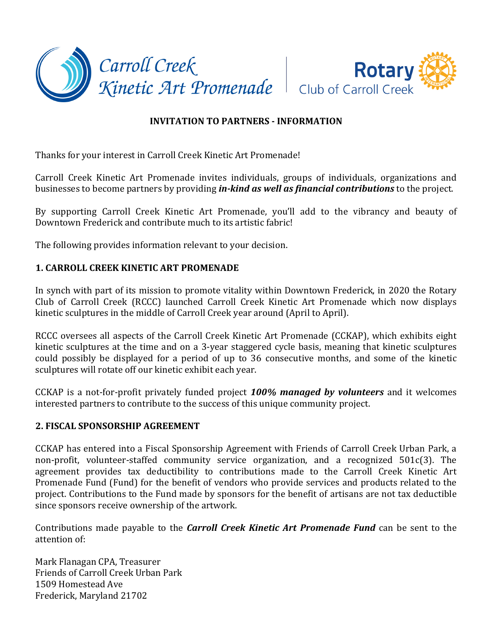



# **INVITATION TO PARTNERS - INFORMATION**

Thanks for your interest in Carroll Creek Kinetic Art Promenade!

Carroll Creek Kinetic Art Promenade invites individuals, groups of individuals, organizations and businesses to become partners by providing *in-kind as well as financial contributions* to the project.

By supporting Carroll Creek Kinetic Art Promenade, you'll add to the vibrancy and beauty of Downtown Frederick and contribute much to its artistic fabric!

The following provides information relevant to your decision.

## **1. CARROLL CREEK KINETIC ART PROMENADE**

In synch with part of its mission to promote vitality within Downtown Frederick, in 2020 the Rotary Club of Carroll Creek (RCCC) launched Carroll Creek Kinetic Art Promenade which now displays kinetic sculptures in the middle of Carroll Creek year around (April to April).

RCCC oversees all aspects of the Carroll Creek Kinetic Art Promenade (CCKAP), which exhibits eight kinetic sculptures at the time and on a 3-year staggered cycle basis, meaning that kinetic sculptures could possibly be displayed for a period of up to 36 consecutive months, and some of the kinetic sculptures will rotate off our kinetic exhibit each year.

CCKAP is a not-for-profit privately funded project **100% managed by volunteers** and it welcomes interested partners to contribute to the success of this unique community project.

## **2. FISCAL SPONSORSHIP AGREEMENT**

CCKAP has entered into a Fiscal Sponsorship Agreement with Friends of Carroll Creek Urban Park, a non-profit, volunteer-staffed community service organization, and a recognized 501c(3). The agreement provides tax deductibility to contributions made to the Carroll Creek Kinetic Art Promenade Fund (Fund) for the benefit of vendors who provide services and products related to the project. Contributions to the Fund made by sponsors for the benefit of artisans are not tax deductible since sponsors receive ownership of the artwork.

Contributions made payable to the *Carroll Creek Kinetic Art Promenade Fund* can be sent to the attention of:

Mark Flanagan CPA, Treasurer Friends of Carroll Creek Urban Park 1509 Homestead Ave Frederick, Maryland 21702